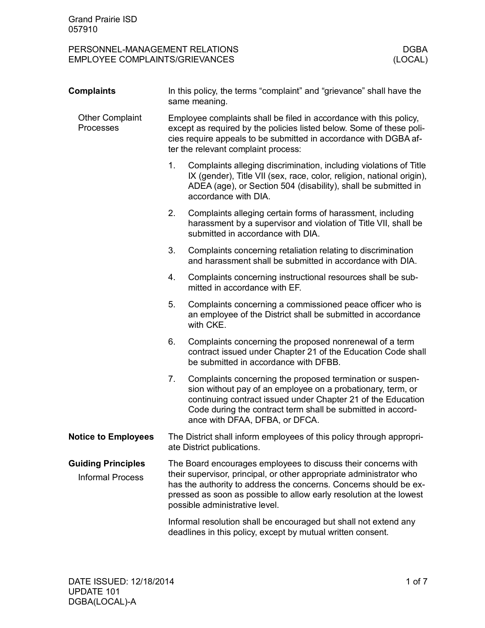PERSONNEL-MANAGEMENT RELATIONS DERSONNEL-MANAGEMENT RELATIONS DERA<br>EMPLOYEE COMPLAINTS/GRIEVANCES (LOCAL) EMPLOYEE COMPLAINTS/GRIEVANCES

| <b>Complaints</b>                                    | In this policy, the terms "complaint" and "grievance" shall have the<br>same meaning.                                                                                                                                                                                                                              |                                                                                                                                                                                                                                                                                           |  |
|------------------------------------------------------|--------------------------------------------------------------------------------------------------------------------------------------------------------------------------------------------------------------------------------------------------------------------------------------------------------------------|-------------------------------------------------------------------------------------------------------------------------------------------------------------------------------------------------------------------------------------------------------------------------------------------|--|
| <b>Other Complaint</b><br>Processes                  | Employee complaints shall be filed in accordance with this policy,<br>except as required by the policies listed below. Some of these poli-<br>cies require appeals to be submitted in accordance with DGBA af-<br>ter the relevant complaint process:                                                              |                                                                                                                                                                                                                                                                                           |  |
|                                                      | 1.                                                                                                                                                                                                                                                                                                                 | Complaints alleging discrimination, including violations of Title<br>IX (gender), Title VII (sex, race, color, religion, national origin),<br>ADEA (age), or Section 504 (disability), shall be submitted in<br>accordance with DIA.                                                      |  |
|                                                      | 2.                                                                                                                                                                                                                                                                                                                 | Complaints alleging certain forms of harassment, including<br>harassment by a supervisor and violation of Title VII, shall be<br>submitted in accordance with DIA.                                                                                                                        |  |
|                                                      | 3.                                                                                                                                                                                                                                                                                                                 | Complaints concerning retaliation relating to discrimination<br>and harassment shall be submitted in accordance with DIA.                                                                                                                                                                 |  |
|                                                      | 4.                                                                                                                                                                                                                                                                                                                 | Complaints concerning instructional resources shall be sub-<br>mitted in accordance with EF.                                                                                                                                                                                              |  |
|                                                      | 5.                                                                                                                                                                                                                                                                                                                 | Complaints concerning a commissioned peace officer who is<br>an employee of the District shall be submitted in accordance<br>with CKE.                                                                                                                                                    |  |
|                                                      | 6.                                                                                                                                                                                                                                                                                                                 | Complaints concerning the proposed nonrenewal of a term<br>contract issued under Chapter 21 of the Education Code shall<br>be submitted in accordance with DFBB.                                                                                                                          |  |
|                                                      | 7.                                                                                                                                                                                                                                                                                                                 | Complaints concerning the proposed termination or suspen-<br>sion without pay of an employee on a probationary, term, or<br>continuing contract issued under Chapter 21 of the Education<br>Code during the contract term shall be submitted in accord-<br>ance with DFAA, DFBA, or DFCA. |  |
| <b>Notice to Employees</b>                           | The District shall inform employees of this policy through appropri-<br>ate District publications.                                                                                                                                                                                                                 |                                                                                                                                                                                                                                                                                           |  |
| <b>Guiding Principles</b><br><b>Informal Process</b> | The Board encourages employees to discuss their concerns with<br>their supervisor, principal, or other appropriate administrator who<br>has the authority to address the concerns. Concerns should be ex-<br>pressed as soon as possible to allow early resolution at the lowest<br>possible administrative level. |                                                                                                                                                                                                                                                                                           |  |
|                                                      |                                                                                                                                                                                                                                                                                                                    | Informal resolution shall be encouraged but shall not extend any<br>deadlines in this policy, except by mutual written consent.                                                                                                                                                           |  |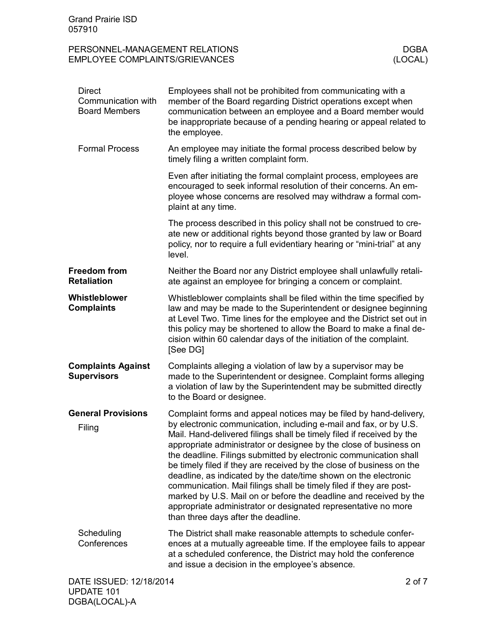# PERSONNEL-MANAGEMENT RELATIONS DERSONNEL-MANAGEMENT RELATIONS DEBA<br>EMPLOYEE COMPLAINTS/GRIEVANCES (LOCAL) EMPLOYEE COMPLAINTS/GRIEVANCES

| <b>Direct</b><br>Communication with<br><b>Board Members</b> | Employees shall not be prohibited from communicating with a<br>member of the Board regarding District operations except when<br>communication between an employee and a Board member would<br>be inappropriate because of a pending hearing or appeal related to<br>the employee.                                                                                                                                                                                                                                                                                                                                                                                                                                                                         |  |
|-------------------------------------------------------------|-----------------------------------------------------------------------------------------------------------------------------------------------------------------------------------------------------------------------------------------------------------------------------------------------------------------------------------------------------------------------------------------------------------------------------------------------------------------------------------------------------------------------------------------------------------------------------------------------------------------------------------------------------------------------------------------------------------------------------------------------------------|--|
| <b>Formal Process</b>                                       | An employee may initiate the formal process described below by<br>timely filing a written complaint form.                                                                                                                                                                                                                                                                                                                                                                                                                                                                                                                                                                                                                                                 |  |
|                                                             | Even after initiating the formal complaint process, employees are<br>encouraged to seek informal resolution of their concerns. An em-<br>ployee whose concerns are resolved may withdraw a formal com-<br>plaint at any time.                                                                                                                                                                                                                                                                                                                                                                                                                                                                                                                             |  |
|                                                             | The process described in this policy shall not be construed to cre-<br>ate new or additional rights beyond those granted by law or Board<br>policy, nor to require a full evidentiary hearing or "mini-trial" at any<br>level.                                                                                                                                                                                                                                                                                                                                                                                                                                                                                                                            |  |
| <b>Freedom from</b><br><b>Retaliation</b>                   | Neither the Board nor any District employee shall unlawfully retali-<br>ate against an employee for bringing a concern or complaint.                                                                                                                                                                                                                                                                                                                                                                                                                                                                                                                                                                                                                      |  |
| Whistleblower<br><b>Complaints</b>                          | Whistleblower complaints shall be filed within the time specified by<br>law and may be made to the Superintendent or designee beginning<br>at Level Two. Time lines for the employee and the District set out in<br>this policy may be shortened to allow the Board to make a final de-<br>cision within 60 calendar days of the initiation of the complaint.<br>[See DG]                                                                                                                                                                                                                                                                                                                                                                                 |  |
| <b>Complaints Against</b><br><b>Supervisors</b>             | Complaints alleging a violation of law by a supervisor may be<br>made to the Superintendent or designee. Complaint forms alleging<br>a violation of law by the Superintendent may be submitted directly<br>to the Board or designee.                                                                                                                                                                                                                                                                                                                                                                                                                                                                                                                      |  |
| <b>General Provisions</b><br>Filing                         | Complaint forms and appeal notices may be filed by hand-delivery,<br>by electronic communication, including e-mail and fax, or by U.S.<br>Mail. Hand-delivered filings shall be timely filed if received by the<br>appropriate administrator or designee by the close of business on<br>the deadline. Filings submitted by electronic communication shall<br>be timely filed if they are received by the close of business on the<br>deadline, as indicated by the date/time shown on the electronic<br>communication. Mail filings shall be timely filed if they are post-<br>marked by U.S. Mail on or before the deadline and received by the<br>appropriate administrator or designated representative no more<br>than three days after the deadline. |  |
| Scheduling<br>Conferences                                   | The District shall make reasonable attempts to schedule confer-<br>ences at a mutually agreeable time. If the employee fails to appear<br>at a scheduled conference, the District may hold the conference<br>and issue a decision in the employee's absence.                                                                                                                                                                                                                                                                                                                                                                                                                                                                                              |  |
| DATE ISSUED: 12/18/2014                                     | 2 of 7                                                                                                                                                                                                                                                                                                                                                                                                                                                                                                                                                                                                                                                                                                                                                    |  |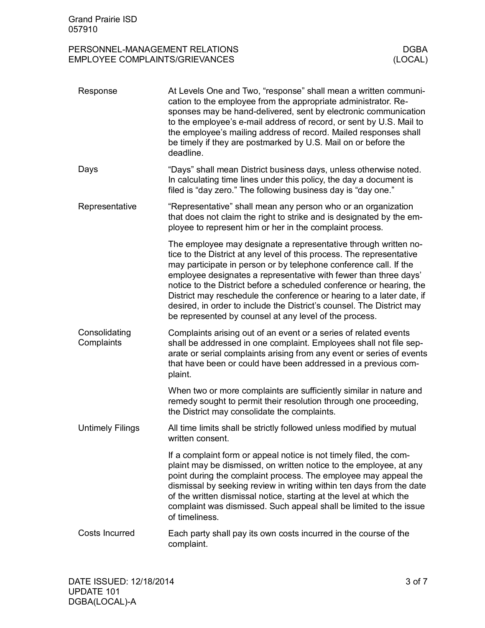### PERSONNEL-MANAGEMENT RELATIONS DERSONNEL-MANAGEMENT RELATIONS DERA<br>EMPLOYEE COMPLAINTS/GRIEVANCES (LOCAL) EMPLOYEE COMPLAINTS/GRIEVANCES

| Response                    | At Levels One and Two, "response" shall mean a written communi-<br>cation to the employee from the appropriate administrator. Re-<br>sponses may be hand-delivered, sent by electronic communication<br>to the employee's e-mail address of record, or sent by U.S. Mail to<br>the employee's mailing address of record. Mailed responses shall<br>be timely if they are postmarked by U.S. Mail on or before the<br>deadline.                                                                                                                                        |
|-----------------------------|-----------------------------------------------------------------------------------------------------------------------------------------------------------------------------------------------------------------------------------------------------------------------------------------------------------------------------------------------------------------------------------------------------------------------------------------------------------------------------------------------------------------------------------------------------------------------|
| Days                        | "Days" shall mean District business days, unless otherwise noted.<br>In calculating time lines under this policy, the day a document is<br>filed is "day zero." The following business day is "day one."                                                                                                                                                                                                                                                                                                                                                              |
| Representative              | "Representative" shall mean any person who or an organization<br>that does not claim the right to strike and is designated by the em-<br>ployee to represent him or her in the complaint process.                                                                                                                                                                                                                                                                                                                                                                     |
|                             | The employee may designate a representative through written no-<br>tice to the District at any level of this process. The representative<br>may participate in person or by telephone conference call. If the<br>employee designates a representative with fewer than three days'<br>notice to the District before a scheduled conference or hearing, the<br>District may reschedule the conference or hearing to a later date, if<br>desired, in order to include the District's counsel. The District may<br>be represented by counsel at any level of the process. |
| Consolidating<br>Complaints | Complaints arising out of an event or a series of related events<br>shall be addressed in one complaint. Employees shall not file sep-<br>arate or serial complaints arising from any event or series of events<br>that have been or could have been addressed in a previous com-<br>plaint.                                                                                                                                                                                                                                                                          |
|                             | When two or more complaints are sufficiently similar in nature and<br>remedy sought to permit their resolution through one proceeding,<br>the District may consolidate the complaints.                                                                                                                                                                                                                                                                                                                                                                                |
| <b>Untimely Filings</b>     | All time limits shall be strictly followed unless modified by mutual<br>written consent.                                                                                                                                                                                                                                                                                                                                                                                                                                                                              |
|                             | If a complaint form or appeal notice is not timely filed, the com-<br>plaint may be dismissed, on written notice to the employee, at any<br>point during the complaint process. The employee may appeal the<br>dismissal by seeking review in writing within ten days from the date<br>of the written dismissal notice, starting at the level at which the<br>complaint was dismissed. Such appeal shall be limited to the issue<br>of timeliness.                                                                                                                    |
| <b>Costs Incurred</b>       | Each party shall pay its own costs incurred in the course of the<br>complaint.                                                                                                                                                                                                                                                                                                                                                                                                                                                                                        |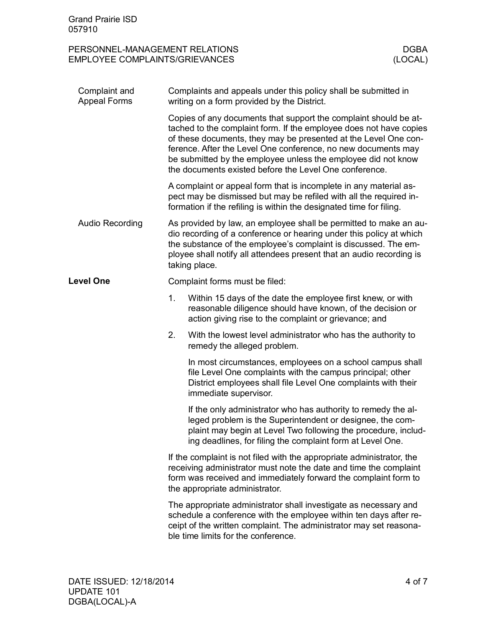| <b>Grand Prairie ISD</b><br>057910                                      |                                                                                                                                                                                                                                                                                                                                                                                                       |                                                                                                                                                                                                                                                            |                        |
|-------------------------------------------------------------------------|-------------------------------------------------------------------------------------------------------------------------------------------------------------------------------------------------------------------------------------------------------------------------------------------------------------------------------------------------------------------------------------------------------|------------------------------------------------------------------------------------------------------------------------------------------------------------------------------------------------------------------------------------------------------------|------------------------|
| PERSONNEL-MANAGEMENT RELATIONS<br><b>EMPLOYEE COMPLAINTS/GRIEVANCES</b> |                                                                                                                                                                                                                                                                                                                                                                                                       |                                                                                                                                                                                                                                                            | <b>DGBA</b><br>(LOCAL) |
| Complaint and<br><b>Appeal Forms</b>                                    |                                                                                                                                                                                                                                                                                                                                                                                                       | Complaints and appeals under this policy shall be submitted in<br>writing on a form provided by the District.                                                                                                                                              |                        |
|                                                                         | Copies of any documents that support the complaint should be at-<br>tached to the complaint form. If the employee does not have copies<br>of these documents, they may be presented at the Level One con-<br>ference. After the Level One conference, no new documents may<br>be submitted by the employee unless the employee did not know<br>the documents existed before the Level One conference. |                                                                                                                                                                                                                                                            |                        |
|                                                                         | A complaint or appeal form that is incomplete in any material as-<br>pect may be dismissed but may be refiled with all the required in-<br>formation if the refiling is within the designated time for filing.                                                                                                                                                                                        |                                                                                                                                                                                                                                                            |                        |
| Audio Recording                                                         | As provided by law, an employee shall be permitted to make an au-<br>dio recording of a conference or hearing under this policy at which<br>the substance of the employee's complaint is discussed. The em-<br>ployee shall notify all attendees present that an audio recording is<br>taking place.                                                                                                  |                                                                                                                                                                                                                                                            |                        |
| <b>Level One</b>                                                        | Complaint forms must be filed:                                                                                                                                                                                                                                                                                                                                                                        |                                                                                                                                                                                                                                                            |                        |
|                                                                         | 1.                                                                                                                                                                                                                                                                                                                                                                                                    | Within 15 days of the date the employee first knew, or with<br>reasonable diligence should have known, of the decision or<br>action giving rise to the complaint or grievance; and                                                                         |                        |
|                                                                         | 2.                                                                                                                                                                                                                                                                                                                                                                                                    | With the lowest level administrator who has the authority to<br>remedy the alleged problem.                                                                                                                                                                |                        |
|                                                                         |                                                                                                                                                                                                                                                                                                                                                                                                       | In most circumstances, employees on a school campus shall<br>file Level One complaints with the campus principal; other<br>District employees shall file Level One complaints with their<br>immediate supervisor.                                          |                        |
|                                                                         |                                                                                                                                                                                                                                                                                                                                                                                                       | If the only administrator who has authority to remedy the al-<br>leged problem is the Superintendent or designee, the com-<br>plaint may begin at Level Two following the procedure, includ-<br>ing deadlines, for filing the complaint form at Level One. |                        |
|                                                                         | If the complaint is not filed with the appropriate administrator, the<br>receiving administrator must note the date and time the complaint<br>form was received and immediately forward the complaint form to<br>the appropriate administrator.                                                                                                                                                       |                                                                                                                                                                                                                                                            |                        |
|                                                                         | The appropriate administrator shall investigate as necessary and<br>schedule a conference with the employee within ten days after re-<br>ceipt of the written complaint. The administrator may set reasona-<br>ble time limits for the conference.                                                                                                                                                    |                                                                                                                                                                                                                                                            |                        |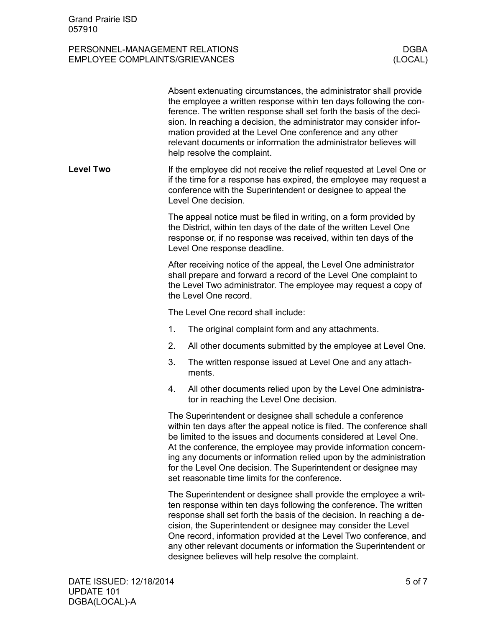## PERSONNEL-MANAGEMENT RELATIONS DERSONNEL-MANAGEMENT RELATIONS DEBA<br>EMPLOYEE COMPLAINTS/GRIEVANCES (LOCAL) EMPLOYEE COMPLAINTS/GRIEVANCES

|                  |                                                                                                                                                                                                                                                                                                                                                                                                                                                                       | Absent extenuating circumstances, the administrator shall provide<br>the employee a written response within ten days following the con-<br>ference. The written response shall set forth the basis of the deci-<br>sion. In reaching a decision, the administrator may consider infor-<br>mation provided at the Level One conference and any other<br>relevant documents or information the administrator believes will<br>help resolve the complaint.                           |  |
|------------------|-----------------------------------------------------------------------------------------------------------------------------------------------------------------------------------------------------------------------------------------------------------------------------------------------------------------------------------------------------------------------------------------------------------------------------------------------------------------------|-----------------------------------------------------------------------------------------------------------------------------------------------------------------------------------------------------------------------------------------------------------------------------------------------------------------------------------------------------------------------------------------------------------------------------------------------------------------------------------|--|
| <b>Level Two</b> | If the employee did not receive the relief requested at Level One or<br>if the time for a response has expired, the employee may request a<br>conference with the Superintendent or designee to appeal the<br>Level One decision.                                                                                                                                                                                                                                     |                                                                                                                                                                                                                                                                                                                                                                                                                                                                                   |  |
|                  | The appeal notice must be filed in writing, on a form provided by<br>the District, within ten days of the date of the written Level One<br>response or, if no response was received, within ten days of the<br>Level One response deadline.                                                                                                                                                                                                                           |                                                                                                                                                                                                                                                                                                                                                                                                                                                                                   |  |
|                  | After receiving notice of the appeal, the Level One administrator<br>shall prepare and forward a record of the Level One complaint to<br>the Level Two administrator. The employee may request a copy of<br>the Level One record.                                                                                                                                                                                                                                     |                                                                                                                                                                                                                                                                                                                                                                                                                                                                                   |  |
|                  |                                                                                                                                                                                                                                                                                                                                                                                                                                                                       | The Level One record shall include:                                                                                                                                                                                                                                                                                                                                                                                                                                               |  |
|                  | 1.                                                                                                                                                                                                                                                                                                                                                                                                                                                                    | The original complaint form and any attachments.                                                                                                                                                                                                                                                                                                                                                                                                                                  |  |
|                  | 2.                                                                                                                                                                                                                                                                                                                                                                                                                                                                    | All other documents submitted by the employee at Level One.                                                                                                                                                                                                                                                                                                                                                                                                                       |  |
|                  | 3.                                                                                                                                                                                                                                                                                                                                                                                                                                                                    | The written response issued at Level One and any attach-<br>ments.                                                                                                                                                                                                                                                                                                                                                                                                                |  |
|                  | 4.                                                                                                                                                                                                                                                                                                                                                                                                                                                                    | All other documents relied upon by the Level One administra-<br>tor in reaching the Level One decision.                                                                                                                                                                                                                                                                                                                                                                           |  |
|                  | The Superintendent or designee shall schedule a conference<br>within ten days after the appeal notice is filed. The conference shall<br>be limited to the issues and documents considered at Level One.<br>At the conference, the employee may provide information concern-<br>ing any documents or information relied upon by the administration<br>for the Level One decision. The Superintendent or designee may<br>set reasonable time limits for the conference. |                                                                                                                                                                                                                                                                                                                                                                                                                                                                                   |  |
|                  |                                                                                                                                                                                                                                                                                                                                                                                                                                                                       | The Superintendent or designee shall provide the employee a writ-<br>ten response within ten days following the conference. The written<br>response shall set forth the basis of the decision. In reaching a de-<br>cision, the Superintendent or designee may consider the Level<br>One record, information provided at the Level Two conference, and<br>any other relevant documents or information the Superintendent or<br>designee believes will help resolve the complaint. |  |
|                  |                                                                                                                                                                                                                                                                                                                                                                                                                                                                       |                                                                                                                                                                                                                                                                                                                                                                                                                                                                                   |  |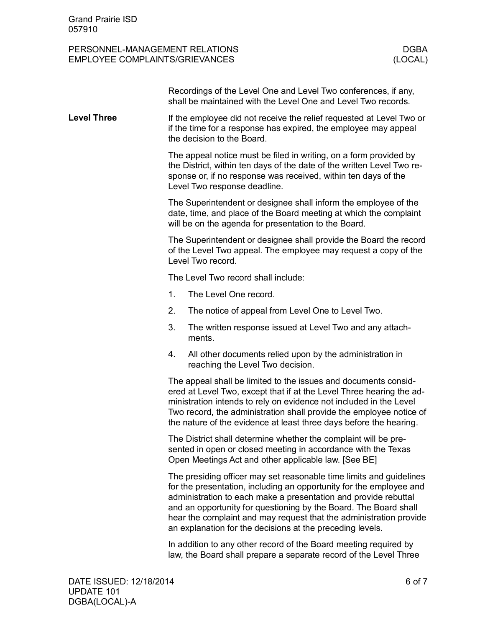### PERSONNEL-MANAGEMENT RELATIONS DERSONNEL-MANAGEMENT RELATIONS DEBA<br>EMPLOYEE COMPLAINTS/GRIEVANCES (LOCAL) EMPLOYEE COMPLAINTS/GRIEVANCES

|                    |                                                                                                                                                                                                                                                                                                                                                                                                                      | Recordings of the Level One and Level Two conferences, if any,<br>shall be maintained with the Level One and Level Two records.                                                                                                               |  |  |
|--------------------|----------------------------------------------------------------------------------------------------------------------------------------------------------------------------------------------------------------------------------------------------------------------------------------------------------------------------------------------------------------------------------------------------------------------|-----------------------------------------------------------------------------------------------------------------------------------------------------------------------------------------------------------------------------------------------|--|--|
| <b>Level Three</b> | If the employee did not receive the relief requested at Level Two or<br>if the time for a response has expired, the employee may appeal<br>the decision to the Board.                                                                                                                                                                                                                                                |                                                                                                                                                                                                                                               |  |  |
|                    |                                                                                                                                                                                                                                                                                                                                                                                                                      | The appeal notice must be filed in writing, on a form provided by<br>the District, within ten days of the date of the written Level Two re-<br>sponse or, if no response was received, within ten days of the<br>Level Two response deadline. |  |  |
|                    | The Superintendent or designee shall inform the employee of the<br>date, time, and place of the Board meeting at which the complaint<br>will be on the agenda for presentation to the Board.                                                                                                                                                                                                                         |                                                                                                                                                                                                                                               |  |  |
|                    | The Superintendent or designee shall provide the Board the record<br>of the Level Two appeal. The employee may request a copy of the<br>Level Two record.                                                                                                                                                                                                                                                            |                                                                                                                                                                                                                                               |  |  |
|                    |                                                                                                                                                                                                                                                                                                                                                                                                                      | The Level Two record shall include:                                                                                                                                                                                                           |  |  |
|                    | 1.                                                                                                                                                                                                                                                                                                                                                                                                                   | The Level One record.                                                                                                                                                                                                                         |  |  |
|                    | 2.                                                                                                                                                                                                                                                                                                                                                                                                                   | The notice of appeal from Level One to Level Two.                                                                                                                                                                                             |  |  |
|                    | 3.                                                                                                                                                                                                                                                                                                                                                                                                                   | The written response issued at Level Two and any attach-<br>ments.                                                                                                                                                                            |  |  |
|                    | 4.                                                                                                                                                                                                                                                                                                                                                                                                                   | All other documents relied upon by the administration in<br>reaching the Level Two decision.                                                                                                                                                  |  |  |
|                    | The appeal shall be limited to the issues and documents consid-<br>ered at Level Two, except that if at the Level Three hearing the ad-<br>ministration intends to rely on evidence not included in the Level<br>Two record, the administration shall provide the employee notice of<br>the nature of the evidence at least three days before the hearing.                                                           |                                                                                                                                                                                                                                               |  |  |
|                    | The District shall determine whether the complaint will be pre-<br>sented in open or closed meeting in accordance with the Texas<br>Open Meetings Act and other applicable law. [See BE]                                                                                                                                                                                                                             |                                                                                                                                                                                                                                               |  |  |
|                    | The presiding officer may set reasonable time limits and guidelines<br>for the presentation, including an opportunity for the employee and<br>administration to each make a presentation and provide rebuttal<br>and an opportunity for questioning by the Board. The Board shall<br>hear the complaint and may request that the administration provide<br>an explanation for the decisions at the preceding levels. |                                                                                                                                                                                                                                               |  |  |
|                    |                                                                                                                                                                                                                                                                                                                                                                                                                      | $\mathbf{r}$ and distinct the same of the same space of the support as said as a subset of a second space of the support                                                                                                                      |  |  |

In addition to any other record of the Board meeting required by law, the Board shall prepare a separate record of the Level Three